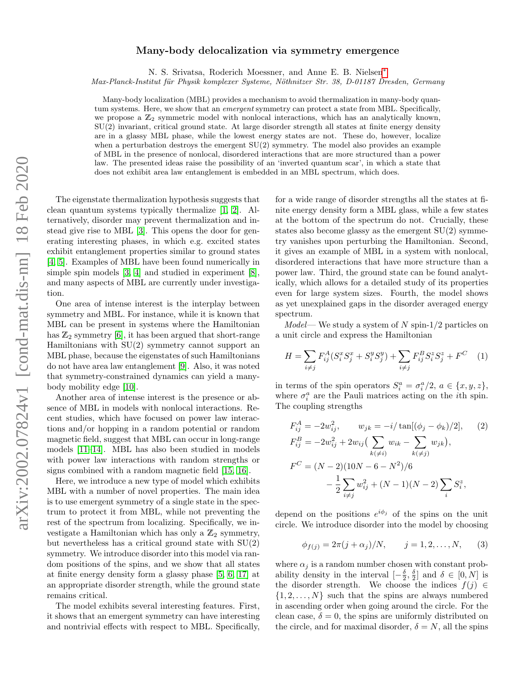## Many-body delocalization via symmetry emergence

N. S. Srivatsa, Roderich Moessner, and Anne E. B. Nielsen[∗](#page-4-0)

Max-Planck-Institut für Physik komplexer Systeme, Nöthnitzer Str. 38, D-01187 Dresden, Germany

Many-body localization (MBL) provides a mechanism to avoid thermalization in many-body quantum systems. Here, we show that an *emergent* symmetry can protect a state from MBL. Specifically, we propose a  $\mathbb{Z}_2$  symmetric model with nonlocal interactions, which has an analytically known, SU(2) invariant, critical ground state. At large disorder strength all states at finite energy density are in a glassy MBL phase, while the lowest energy states are not. These do, however, localize when a perturbation destroys the emergent  $SU(2)$  symmetry. The model also provides an example of MBL in the presence of nonlocal, disordered interactions that are more structured than a power law. The presented ideas raise the possibility of an 'inverted quantum scar', in which a state that does not exhibit area law entanglement is embedded in an MBL spectrum, which does.

The eigenstate thermalization hypothesis suggests that clean quantum systems typically thermalize [\[1,](#page-4-1) [2\]](#page-4-2). Alternatively, disorder may prevent thermalization and instead give rise to MBL [\[3\]](#page-4-3). This opens the door for generating interesting phases, in which e.g. excited states exhibit entanglement properties similar to ground states [\[4,](#page-4-4) [5\]](#page-4-5). Examples of MBL have been found numerically in simple spin models [\[3,](#page-4-3) [4\]](#page-4-4) and studied in experiment [\[8\]](#page-4-6), and many aspects of MBL are currently under investigation.

One area of intense interest is the interplay between symmetry and MBL. For instance, while it is known that MBL can be present in systems where the Hamiltonian has  $\mathbb{Z}_2$  symmetry [\[6\]](#page-4-7), it has been argued that short-range Hamiltonians with  $SU(2)$  symmetry cannot support an MBL phase, because the eigenstates of such Hamiltonians do not have area law entanglement [\[9\]](#page-4-8). Also, it was noted that symmetry-constrained dynamics can yield a manybody mobility edge [\[10\]](#page-4-9).

Another area of intense interest is the presence or absence of MBL in models with nonlocal interactions. Recent studies, which have focused on power law interactions and/or hopping in a random potential or random magnetic field, suggest that MBL can occur in long-range models [\[11](#page-4-10)[–14\]](#page-4-11). MBL has also been studied in models with power law interactions with random strengths or signs combined with a random magnetic field [\[15,](#page-4-12) [16\]](#page-4-13).

Here, we introduce a new type of model which exhibits MBL with a number of novel properties. The main idea is to use emergent symmetry of a single state in the spectrum to protect it from MBL, while not preventing the rest of the spectrum from localizing. Specifically, we investigate a Hamiltonian which has only a  $\mathbb{Z}_2$  symmetry, but nevertheless has a critical ground state with SU(2) symmetry. We introduce disorder into this model via random positions of the spins, and we show that all states at finite energy density form a glassy phase [\[5,](#page-4-5) [6,](#page-4-7) [17\]](#page-4-14) at an appropriate disorder strength, while the ground state remains critical.

The model exhibits several interesting features. First, it shows that an emergent symmetry can have interesting and nontrivial effects with respect to MBL. Specifically,

for a wide range of disorder strengths all the states at finite energy density form a MBL glass, while a few states at the bottom of the spectrum do not. Crucially, these states also become glassy as the emergent  $SU(2)$  symmetry vanishes upon perturbing the Hamiltonian. Second, it gives an example of MBL in a system with nonlocal, disordered interactions that have more structure than a power law. Third, the ground state can be found analytically, which allows for a detailed study of its properties even for large system sizes. Fourth, the model shows as yet unexplained gaps in the disorder averaged energy spectrum.

 $Model$ — We study a system of N spin-1/2 particles on a unit circle and express the Hamiltonian

$$
H = \sum_{i \neq j} F_{ij}^{A} (S_{i}^{x} S_{j}^{x} + S_{i}^{y} S_{j}^{y}) + \sum_{i \neq j} F_{ij}^{B} S_{i}^{z} S_{j}^{z} + F^{C} \quad (1)
$$

in terms of the spin operators  $S_i^a = \sigma_i^a/2$ ,  $a \in \{x, y, z\}$ , where  $\sigma_i^a$  are the Pauli matrices acting on the *i*<sup>th</sup> spin. The coupling strengths

$$
F_{ij}^{A} = -2w_{ij}^{2}, \qquad w_{jk} = -i/\tan[(\phi_{j} - \phi_{k})/2], \qquad (2)
$$
  
\n
$$
F_{ij}^{B} = -2w_{ij}^{2} + 2w_{ij} \left( \sum_{k(\neq i)} w_{ik} - \sum_{k(\neq j)} w_{jk} \right),
$$
  
\n
$$
F^{C} = (N - 2)(10N - 6 - N^{2})/6
$$
  
\n
$$
- \frac{1}{2} \sum_{i \neq j} w_{ij}^{2} + (N - 1)(N - 2) \sum_{i} S_{i}^{z},
$$

depend on the positions  $e^{i\phi_j}$  of the spins on the unit circle. We introduce disorder into the model by choosing

$$
\phi_{f(j)} = 2\pi (j + \alpha_j)/N, \qquad j = 1, 2, ..., N,
$$
 (3)

where  $\alpha_j$  is a random number chosen with constant probability density in the interval  $\left[-\frac{\delta}{2}, \frac{\delta}{2}\right]$  and  $\delta \in [0, N]$  is the disorder strength. We choose the indices  $f(i) \in$  $\{1, 2, \ldots, N\}$  such that the spins are always numbered in ascending order when going around the circle. For the clean case,  $\delta = 0$ , the spins are uniformly distributed on the circle, and for maximal disorder,  $\delta = N$ , all the spins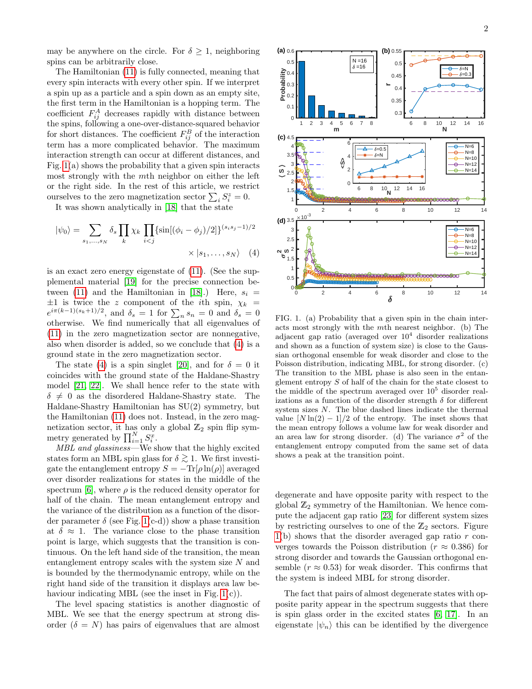may be anywhere on the circle. For  $\delta \geq 1$ , neighboring spins can be arbitrarily close.

The Hamiltonian [\(11\)](#page-4-15) is fully connected, meaning that every spin interacts with every other spin. If we interpret a spin up as a particle and a spin down as an empty site, the first term in the Hamiltonian is a hopping term. The coefficient  $F_{ij}^A$  decreases rapidly with distance between the spins, following a one-over-distance-squared behavior for short distances. The coefficient  $F_{ij}^B$  of the interaction term has a more complicated behavior. The maximum interaction strength can occur at different distances, and Fig.  $1(a)$  shows the probability that a given spin interacts most strongly with the mth neighbor on either the left or the right side. In the rest of this article, we restrict ourselves to the zero magnetization sector  $\sum_i S_i^z = 0$ .

It was shown analytically in [\[18\]](#page-4-16) that the state

$$
|\psi_0\rangle = \sum_{s_1,\dots,s_N} \delta_s \prod_k \chi_k \prod_{i < j} \{\sin[(\phi_i - \phi_j)/2]\}^{(s_i s_j - 1)/2} \times |s_1,\dots,s_N\rangle \quad (4)
$$

is an exact zero energy eigenstate of [\(11\)](#page-4-15). (See the supplemental material [\[19\]](#page-4-17) for the precise connection be-tween [\(11\)](#page-4-15) and the Hamiltonian in [\[18\]](#page-4-16).) Here,  $s_i$  =  $\pm 1$  is twice the z component of the *i*th spin,  $\chi_k$  =  $e^{i\pi(k-1)(s_k+1)/2}$ , and  $\delta_s = 1$  for  $\sum_n s_n = 0$  and  $\delta_s = 0$ otherwise. We find numerically that all eigenvalues of [\(11\)](#page-4-15) in the zero magnetization sector are nonnegative, also when disorder is added, so we conclude that [\(4\)](#page-1-1) is a ground state in the zero magnetization sector.

The state [\(4\)](#page-1-1) is a spin singlet [\[20\]](#page-4-18), and for  $\delta = 0$  it coincides with the ground state of the Haldane-Shastry model [\[21,](#page-4-19) [22\]](#page-4-20). We shall hence refer to the state with  $\delta \neq 0$  as the disordered Haldane-Shastry state. The Haldane-Shastry Hamiltonian has SU(2) symmetry, but the Hamiltonian [\(11\)](#page-4-15) does not. Instead, in the zero magnetization sector, it has only a global  $\mathbb{Z}_2$  spin flip symmetry generated by  $\prod_{i=1}^{N} S_i^x$ .

MBL and glassiness—We show that the highly excited states form an MBL spin glass for  $\delta \gtrsim 1$ . We first investigate the entanglement entropy  $S = -\text{Tr}[\rho \ln(\rho)]$  averaged over disorder realizations for states in the middle of the spectrum [\[6\]](#page-4-7), where  $\rho$  is the reduced density operator for half of the chain. The mean entanglement entropy and the variance of the distribution as a function of the disorder parameter  $\delta$  (see Fig. [1\(](#page-1-0)c-d)) show a phase transition at  $\delta \approx 1$ . The variance close to the phase transition point is large, which suggests that the transition is continuous. On the left hand side of the transition, the mean entanglement entropy scales with the system size N and is bounded by the thermodynamic entropy, while on the right hand side of the transition it displays area law behaviour indicating MBL (see the inset in Fig.  $1(c)$ ).

The level spacing statistics is another diagnostic of MBL. We see that the energy spectrum at strong disorder  $(\delta = N)$  has pairs of eigenvalues that are almost



<span id="page-1-1"></span><span id="page-1-0"></span>FIG. 1. (a) Probability that a given spin in the chain interacts most strongly with the mth nearest neighbor. (b) The adjacent gap ratio (averaged over  $10<sup>4</sup>$  disorder realizations and shown as a function of system size) is close to the Gaussian orthogonal ensemble for weak disorder and close to the Poisson distribution, indicating MBL, for strong disorder. (c) The transition to the MBL phase is also seen in the entanglement entropy S of half of the chain for the state closest to the middle of the spectrum averaged over  $10^5$  disorder realizations as a function of the disorder strength  $\delta$  for different system sizes N. The blue dashed lines indicate the thermal value  $[N \ln(2) - 1]/2$  of the entropy. The inset shows that the mean entropy follows a volume law for weak disorder and an area law for strong disorder. (d) The variance  $\sigma^2$  of the entanglement entropy computed from the same set of data shows a peak at the transition point.

degenerate and have opposite parity with respect to the global  $\mathbb{Z}_2$  symmetry of the Hamiltonian. We hence compute the adjacent gap ratio [\[23\]](#page-4-21) for different system sizes by restricting ourselves to one of the  $\mathbb{Z}_2$  sectors. Figure  $1(b)$  $1(b)$  shows that the disorder averaged gap ratio r converges towards the Poisson distribution ( $r \approx 0.386$ ) for strong disorder and towards the Gaussian orthogonal ensemble ( $r \approx 0.53$ ) for weak disorder. This confirms that the system is indeed MBL for strong disorder.

The fact that pairs of almost degenerate states with opposite parity appear in the spectrum suggests that there is spin glass order in the excited states [\[6,](#page-4-7) [17\]](#page-4-14). In an eigenstate  $|\psi_n\rangle$  this can be identified by the divergence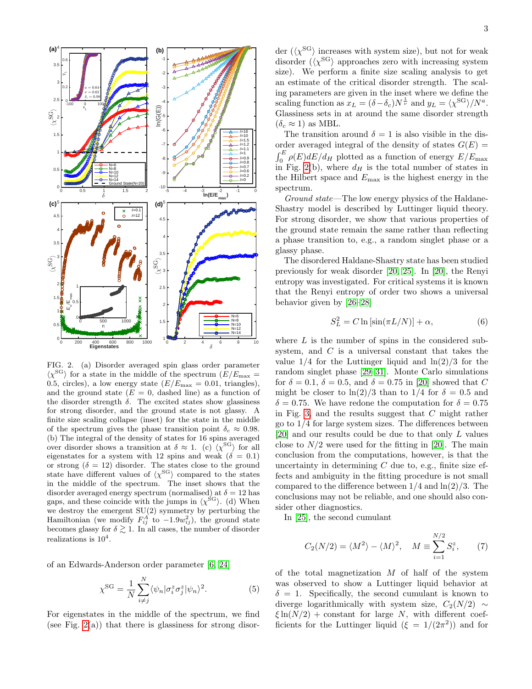

<span id="page-2-0"></span>FIG. 2. (a) Disorder averaged spin glass order parameter  $\langle \chi^{\rm SG} \rangle$  for a state in the middle of the spectrum  $(E/E_{\rm max} =$ 0.5, circles), a low energy state  $(E/E_{\text{max}} = 0.01, \text{ triangles}),$ and the ground state  $(E = 0,$  dashed line) as a function of the disorder strength  $\delta$ . The excited states show glassiness for strong disorder, and the ground state is not glassy. A finite size scaling collapse (inset) for the state in the middle of the spectrum gives the phase transition point  $\delta_c \approx 0.98$ . (b) The integral of the density of states for 16 spins averaged over disorder shows a transition at  $\delta \approx 1$ . (c)  $\langle \chi^{\rm SG} \rangle$  for all eigenstates for a system with 12 spins and weak ( $\delta = 0.1$ ) or strong  $(\delta = 12)$  disorder. The states close to the ground state have different values of  $\langle \chi^{\rm SG} \rangle$  compared to the states in the middle of the spectrum. The inset shows that the disorder averaged energy spectrum (normalised) at  $\delta = 12$  has gaps, and these coincide with the jumps in  $\langle \chi^{\rm SG} \rangle$ . (d) When we destroy the emergent SU(2) symmetry by perturbing the Hamiltonian (we modify  $F_{ij}^A$  to  $-1.9w_{ij}^2$ ), the ground state becomes glassy for  $\delta \gtrsim 1$ . In all cases, the number of disorder realizations is  $10^4$ .

of an Edwards-Anderson order parameter [\[6,](#page-4-7) [24\]](#page-4-22)

$$
\chi^{\rm SG} = \frac{1}{N} \sum_{i \neq j}^N \langle \psi_n | \sigma_i^z \sigma_j^z | \psi_n \rangle^2.
$$
 (5)

For eigenstates in the middle of the spectrum, we find (see Fig.  $2(a)$ ) that there is glassiness for strong disor-

der  $({\langle} \chi^{\rm SG} {\rangle}$  increases with system size), but not for weak disorder  $(\langle \chi^{\rm SG} \rangle)$  approaches zero with increasing system size). We perform a finite size scaling analysis to get an estimate of the critical disorder strength. The scaling parameters are given in the inset where we define the scaling function as  $x_L = (\delta - \delta_c) N^{\frac{1}{\nu}}$  and  $y_L = \langle \chi^{\rm SG} \rangle / N^a$ . Glassiness sets in at around the same disorder strength  $(\delta_c \approx 1)$  as MBL.

The transition around  $\delta = 1$  is also visible in the disorder averaged integral of the density of states  $G(E)$  =  $\int_0^E \rho(E) dE/d_H$  plotted as a function of energy  $E/E_{\text{max}}$ in Fig. [2\(](#page-2-0)b), where  $d_H$  is the total number of states in the Hilbert space and  $E_{\text{max}}$  is the highest energy in the spectrum.

Ground state—The low energy physics of the Haldane-Shastry model is described by Luttinger liquid theory. For strong disorder, we show that various properties of the ground state remain the same rather than reflecting a phase transition to, e.g., a random singlet phase or a glassy phase.

The disordered Haldane-Shastry state has been studied previously for weak disorder [\[20,](#page-4-18) [25\]](#page-4-23). In [\[20\]](#page-4-18), the Renyi entropy was investigated. For critical systems it is known that the Renyi entropy of order two shows a universal behavior given by [\[26](#page-4-24)[–28\]](#page-4-25)

<span id="page-2-1"></span>
$$
S_L^2 = C \ln\left[\sin(\pi L/N)\right] + \alpha,\tag{6}
$$

where  $L$  is the number of spins in the considered subsystem, and C is a universal constant that takes the value  $1/4$  for the Luttinger liquid and  $\ln(2)/3$  for the random singlet phase [\[29](#page-4-26)[–31\]](#page-4-27). Monte Carlo simulations for  $\delta = 0.1$ ,  $\delta = 0.5$ , and  $\delta = 0.75$  in [\[20\]](#page-4-18) showed that C might be closer to  $\ln(2)/3$  than to 1/4 for  $\delta = 0.5$  and  $\delta = 0.75$ . We have redone the computation for  $\delta = 0.75$ in Fig. [3,](#page-3-0) and the results suggest that  $C$  might rather go to 1/4 for large system sizes. The differences between [\[20\]](#page-4-18) and our results could be due to that only L values close to  $N/2$  were used for the fitting in [\[20\]](#page-4-18). The main conclusion from the computations, however, is that the uncertainty in determining  $C$  due to, e.g., finite size effects and ambiguity in the fitting procedure is not small compared to the difference between  $1/4$  and  $\ln(2)/3$ . The conclusions may not be reliable, and one should also consider other diagnostics.

In [\[25\]](#page-4-23), the second cumulant

$$
C_2(N/2) = \langle M^2 \rangle - \langle M \rangle^2, \quad M \equiv \sum_{i=1}^{N/2} S_i^z,
$$
 (7)

of the total magnetization  $M$  of half of the system was observed to show a Luttinger liquid behavior at  $\delta = 1$ . Specifically, the second cumulant is known to diverge logarithmically with system size,  $C_2(N/2) \sim$  $\xi \ln(N/2)$  + constant for large N, with different coefficients for the Luttinger liquid  $(\xi = 1/(2\pi^2))$  and for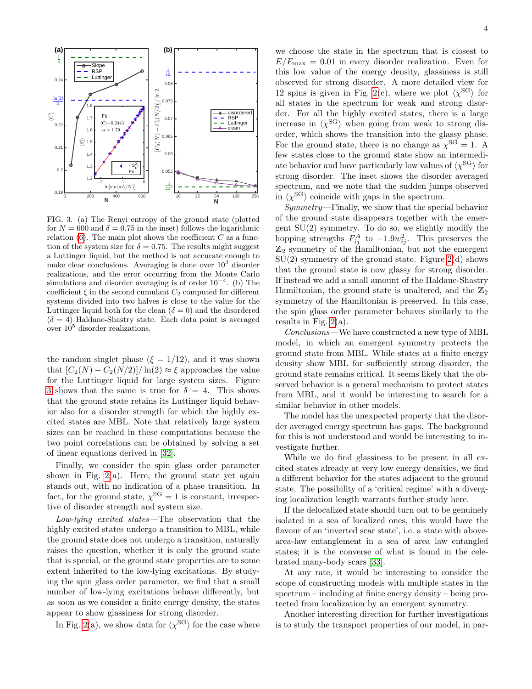

<span id="page-3-0"></span>FIG. 3. (a) The Renyi entropy of the ground state (plotted for  $N = 600$  and  $\delta = 0.75$  in the inset) follows the logarithmic relation  $(6)$ . The main plot shows the coefficient C as a function of the system size for  $\delta = 0.75$ . The results might suggest a Luttinger liquid, but the method is not accurate enough to make clear conclusions. Averaging is done over  $10<sup>3</sup>$  disorder realizations, and the error occurring from the Monte Carlo simulations and disorder averaging is of order  $10^{-4}$ . (b) The coefficient  $\xi$  in the second cumulant  $C_2$  computed for different systems divided into two halves is close to the value for the Luttinger liquid both for the clean  $(\delta = 0)$  and the disordered  $(\delta = 4)$  Haldane-Shastry state. Each data point is averaged over  $10^5$  disorder realizations.

the random singlet phase  $(\xi = 1/12)$ , and it was shown that  $[C_2(N) - C_2(N/2)] / \ln(2) \approx \xi$  approaches the value for the Luttinger liquid for large system sizes. Figure [3](#page-3-0) shows that the same is true for  $\delta = 4$ . This shows that the ground state retains its Luttinger liquid behavior also for a disorder strength for which the highly excited states are MBL. Note that relatively large system sizes can be reached in these computations because the two point correlations can be obtained by solving a set of linear equations derived in [\[32\]](#page-4-28).

Finally, we consider the spin glass order parameter shown in Fig.  $2(a)$ . Here, the ground state yet again stands out, with no indication of a phase transition. In fact, for the ground state,  $\chi^{\rm SG} = 1$  is constant, irrespective of disorder strength and system size.

Low-lying excited states—The observation that the highly excited states undergo a transition to MBL, while the ground state does not undergo a transition, naturally raises the question, whether it is only the ground state that is special, or the ground state properties are to some extent inherited to the low-lying excitations. By studying the spin glass order parameter, we find that a small number of low-lying excitations behave differently, but as soon as we consider a finite energy density, the states appear to show glassiness for strong disorder.

In Fig. [2\(](#page-2-0)a), we show data for  $\langle \chi^{\rm SG} \rangle$  for the case where

we choose the state in the spectrum that is closest to  $E/E_{\text{max}} = 0.01$  in every disorder realization. Even for this low value of the energy density, glassiness is still observed for strong disorder. A more detailed view for 12 spins is given in Fig. [2\(](#page-2-0)c), where we plot  $\langle \chi^{\rm SG} \rangle$  for all states in the spectrum for weak and strong disorder. For all the highly excited states, there is a large increase in  $\langle \chi^{\rm SG} \rangle$  when going from weak to strong disorder, which shows the transition into the glassy phase. For the ground state, there is no change as  $\chi^{\rm SG} = 1$ . A few states close to the ground state show an intermediate behavior and have particularly low values of  $\langle \chi^{\rm SG} \rangle$  for strong disorder. The inset shows the disorder averaged spectrum, and we note that the sudden jumps observed in  $\langle \chi^{\rm SG} \rangle$  coincide with gaps in the spectrum.

Symmetry—Finally, we show that the special behavior of the ground state disappears together with the emergent SU(2) symmetry. To do so, we slightly modify the hopping strengths  $F_{ij}^A$  to  $-1.9w_{ij}^2$ . This preserves the  $\mathbb{Z}_2$  symmetry of the Hamiltonian, but not the emergent  $SU(2)$  symmetry of the ground state. Figure  $2(d)$  shows that the ground state is now glassy for strong disorder. If instead we add a small amount of the Haldane-Shastry Hamiltonian, the ground state is unaltered, and the  $\mathbb{Z}_2$ symmetry of the Hamiltonian is preserved. In this case, the spin glass order parameter behaves similarly to the results in Fig. [2\(](#page-2-0)a).

Conclusions—We have constructed a new type of MBL model, in which an emergent symmetry protects the ground state from MBL. While states at a finite energy density show MBL for sufficiently strong disorder, the ground state remains critical. It seems likely that the observed behavior is a general mechanism to protect states from MBL, and it would be interesting to search for a similar behavior in other models.

The model has the unexpected property that the disorder averaged energy spectrum has gaps. The background for this is not understood and would be interesting to investigate further.

While we do find glassiness to be present in all excited states already at very low energy densities, we find a different behavior for the states adjacent to the ground state. The possibility of a 'critical regime' with a diverging localization length warrants further study here.

If the delocalized state should turn out to be genuinely isolated in a sea of localized ones, this would have the flavour of an 'inverted scar state', i.e. a state with abovearea-law entanglement in a sea of area law entangled states; it is the converse of what is found in the celebrated many-body scars [\[33\]](#page-4-29).

At any rate, it would be interesting to consider the scope of constructing models with multiple states in the spectrum – including at finite energy density – being protected from localization by an emergent symmetry.

Another interesting direction for further investigations is to study the transport properties of our model, in par